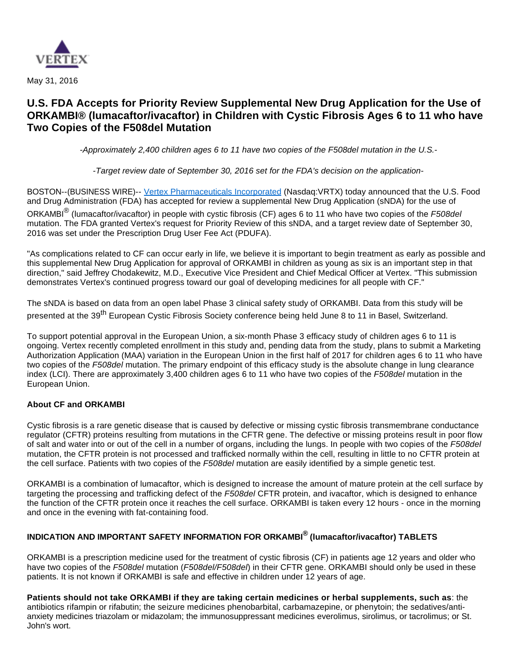

May 31, 2016

# **U.S. FDA Accepts for Priority Review Supplemental New Drug Application for the Use of ORKAMBI® (lumacaftor/ivacaftor) in Children with Cystic Fibrosis Ages 6 to 11 who have Two Copies of the F508del Mutation**

-Approximately 2,400 children ages 6 to 11 have two copies of the F508del mutation in the U.S.-

-Target review date of September 30, 2016 set for the FDA's decision on the application-

BOSTON--(BUSINESS WIRE)-- [Vertex Pharmaceuticals Incorporated](http://cts.businesswire.com/ct/CT?id=smartlink&url=http%3A%2F%2Fwww.vrtx.com&esheet=51352211&newsitemid=20160531005756&lan=en-US&anchor=Vertex+Pharmaceuticals+Incorporated&index=1&md5=b7997ce28f33e2c6fe5445add6566a19) (Nasdaq:VRTX) today announced that the U.S. Food and Drug Administration (FDA) has accepted for review a supplemental New Drug Application (sNDA) for the use of

ORKAMBI $^{\circledR}$  (lumacaftor/ivacaftor) in people with cystic fibrosis (CF) ages 6 to 11 who have two copies of the F508del mutation. The FDA granted Vertex's request for Priority Review of this sNDA, and a target review date of September 30, 2016 was set under the Prescription Drug User Fee Act (PDUFA).

"As complications related to CF can occur early in life, we believe it is important to begin treatment as early as possible and this supplemental New Drug Application for approval of ORKAMBI in children as young as six is an important step in that direction," said Jeffrey Chodakewitz, M.D., Executive Vice President and Chief Medical Officer at Vertex. "This submission demonstrates Vertex's continued progress toward our goal of developing medicines for all people with CF."

The sNDA is based on data from an open label Phase 3 clinical safety study of ORKAMBI. Data from this study will be presented at the 39<sup>th</sup> European Cystic Fibrosis Society conference being held June 8 to 11 in Basel, Switzerland.

To support potential approval in the European Union, a six-month Phase 3 efficacy study of children ages 6 to 11 is ongoing. Vertex recently completed enrollment in this study and, pending data from the study, plans to submit a Marketing Authorization Application (MAA) variation in the European Union in the first half of 2017 for children ages 6 to 11 who have two copies of the F508del mutation. The primary endpoint of this efficacy study is the absolute change in lung clearance index (LCI). There are approximately 3,400 children ages 6 to 11 who have two copies of the F508del mutation in the European Union.

# **About CF and ORKAMBI**

Cystic fibrosis is a rare genetic disease that is caused by defective or missing cystic fibrosis transmembrane conductance regulator (CFTR) proteins resulting from mutations in the CFTR gene. The defective or missing proteins result in poor flow of salt and water into or out of the cell in a number of organs, including the lungs. In people with two copies of the F508del mutation, the CFTR protein is not processed and trafficked normally within the cell, resulting in little to no CFTR protein at the cell surface. Patients with two copies of the F508del mutation are easily identified by a simple genetic test.

ORKAMBI is a combination of lumacaftor, which is designed to increase the amount of mature protein at the cell surface by targeting the processing and trafficking defect of the F508del CFTR protein, and ivacaftor, which is designed to enhance the function of the CFTR protein once it reaches the cell surface. ORKAMBI is taken every 12 hours - once in the morning and once in the evening with fat-containing food.

# **INDICATION AND IMPORTANT SAFETY INFORMATION FOR ORKAMBI® (lumacaftor/ivacaftor) TABLETS**

ORKAMBI is a prescription medicine used for the treatment of cystic fibrosis (CF) in patients age 12 years and older who have two copies of the F508del mutation (F508del/F508del) in their CFTR gene. ORKAMBI should only be used in these patients. It is not known if ORKAMBI is safe and effective in children under 12 years of age.

**Patients should not take ORKAMBI if they are taking certain medicines or herbal supplements, such as**: the antibiotics rifampin or rifabutin; the seizure medicines phenobarbital, carbamazepine, or phenytoin; the sedatives/antianxiety medicines triazolam or midazolam; the immunosuppressant medicines everolimus, sirolimus, or tacrolimus; or St. John's wort.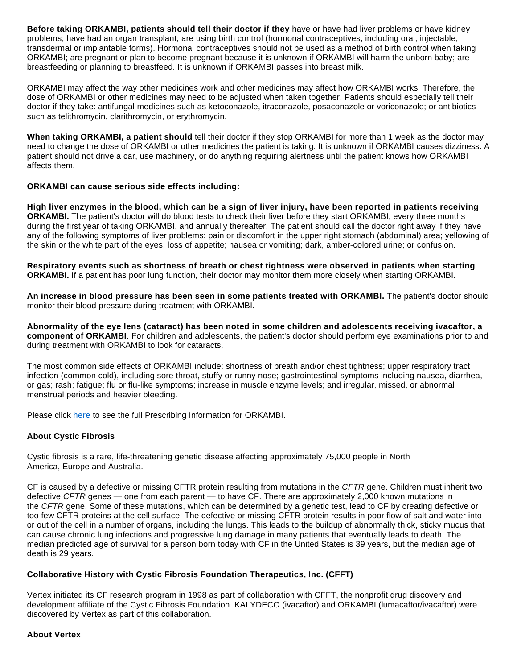**Before taking ORKAMBI, patients should tell their doctor if they** have or have had liver problems or have kidney problems; have had an organ transplant; are using birth control (hormonal contraceptives, including oral, injectable, transdermal or implantable forms). Hormonal contraceptives should not be used as a method of birth control when taking ORKAMBI; are pregnant or plan to become pregnant because it is unknown if ORKAMBI will harm the unborn baby; are breastfeeding or planning to breastfeed. It is unknown if ORKAMBI passes into breast milk.

ORKAMBI may affect the way other medicines work and other medicines may affect how ORKAMBI works. Therefore, the dose of ORKAMBI or other medicines may need to be adjusted when taken together. Patients should especially tell their doctor if they take: antifungal medicines such as ketoconazole, itraconazole, posaconazole or voriconazole; or antibiotics such as telithromycin, clarithromycin, or erythromycin.

**When taking ORKAMBI, a patient should** tell their doctor if they stop ORKAMBI for more than 1 week as the doctor may need to change the dose of ORKAMBI or other medicines the patient is taking. It is unknown if ORKAMBI causes dizziness. A patient should not drive a car, use machinery, or do anything requiring alertness until the patient knows how ORKAMBI affects them.

#### **ORKAMBI can cause serious side effects including:**

**High liver enzymes in the blood, which can be a sign of liver injury, have been reported in patients receiving ORKAMBI.** The patient's doctor will do blood tests to check their liver before they start ORKAMBI, every three months during the first year of taking ORKAMBI, and annually thereafter. The patient should call the doctor right away if they have any of the following symptoms of liver problems: pain or discomfort in the upper right stomach (abdominal) area; yellowing of the skin or the white part of the eyes; loss of appetite; nausea or vomiting; dark, amber-colored urine; or confusion.

**Respiratory events such as shortness of breath or chest tightness were observed in patients when starting ORKAMBI.** If a patient has poor lung function, their doctor may monitor them more closely when starting ORKAMBI.

**An increase in blood pressure has been seen in some patients treated with ORKAMBI.** The patient's doctor should monitor their blood pressure during treatment with ORKAMBI.

**Abnormality of the eye lens (cataract) has been noted in some children and adolescents receiving ivacaftor, a component of ORKAMBI**. For children and adolescents, the patient's doctor should perform eye examinations prior to and during treatment with ORKAMBI to look for cataracts.

The most common side effects of ORKAMBI include: shortness of breath and/or chest tightness; upper respiratory tract infection (common cold), including sore throat, stuffy or runny nose; gastrointestinal symptoms including nausea, diarrhea, or gas; rash; fatigue; flu or flu-like symptoms; increase in muscle enzyme levels; and irregular, missed, or abnormal menstrual periods and heavier bleeding.

Please click [here](http://cts.businesswire.com/ct/CT?id=smartlink&url=http%3A%2F%2Fpi.vrtx.com%2Ffiles%2Fuspi_lumacaftor_ivacaftor.pdf&esheet=51352211&newsitemid=20160531005756&lan=en-US&anchor=here&index=2&md5=96a96e934ea189453c385a70454f5313) to see the full Prescribing Information for ORKAMBI.

# **About Cystic Fibrosis**

Cystic fibrosis is a rare, life-threatening genetic disease affecting approximately 75,000 people in North America, Europe and Australia.

CF is caused by a defective or missing CFTR protein resulting from mutations in the CFTR gene. Children must inherit two defective CFTR genes — one from each parent — to have CF. There are approximately 2,000 known mutations in the CFTR gene. Some of these mutations, which can be determined by a genetic test, lead to CF by creating defective or too few CFTR proteins at the cell surface. The defective or missing CFTR protein results in poor flow of salt and water into or out of the cell in a number of organs, including the lungs. This leads to the buildup of abnormally thick, sticky mucus that can cause chronic lung infections and progressive lung damage in many patients that eventually leads to death. The median predicted age of survival for a person born today with CF in the United States is 39 years, but the median age of death is 29 years.

# **Collaborative History with Cystic Fibrosis Foundation Therapeutics, Inc. (CFFT)**

Vertex initiated its CF research program in 1998 as part of collaboration with CFFT, the nonprofit drug discovery and development affiliate of the Cystic Fibrosis Foundation. KALYDECO (ivacaftor) and ORKAMBI (lumacaftor/ivacaftor) were discovered by Vertex as part of this collaboration.

#### **About Vertex**